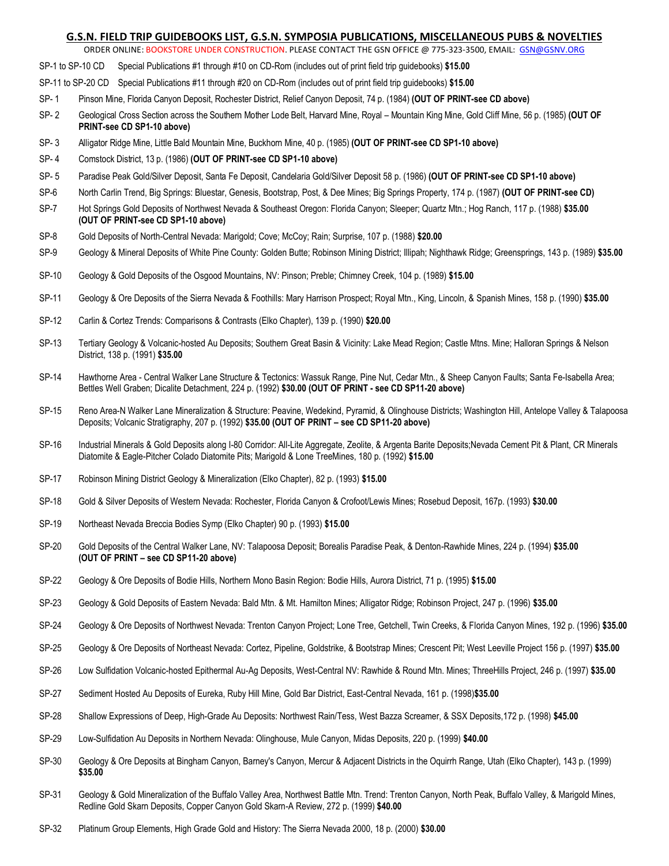# **G.S.N. FIELD TRIP GUIDEBOOKS LIST, G.S.N. SYMPOSIA PUBLICATIONS, MISCELLANEOUS PUBS & NOVELTIES**

ORDER ONLINE: BOOKSTORE UNDER CONSTRUCTION. PLEASE CONTACT THE GSN OFFICE @ 775-323-3500, EMAIL: [GSN@GSNV.ORG](mailto:GSN@GSNV.ORG)

- SP-1 to SP-10 CD Special Publications #1 through #10 on CD-Rom (includes out of print field trip guidebooks) **\$15.00**
- SP-11 to SP-20 CD Special Publications #11 through #20 on CD-Rom (includes out of print field trip guidebooks) **\$15.00**
- SP- 1 Pinson Mine, Florida Canyon Deposit, Rochester District, Relief Canyon Deposit, 74 p. (1984) **(OUT OF PRINT-see CD above)**
- SP- 2 Geological Cross Section across the Southern Mother Lode Belt, Harvard Mine, Royal Mountain King Mine, Gold Cliff Mine, 56 p. (1985) **(OUT OF PRINT-see CD SP1-10 above)**
- SP- 3 Alligator Ridge Mine, Little Bald Mountain Mine, Buckhorn Mine, 40 p. (1985) **(OUT OF PRINT-see CD SP1-10 above)**
- SP- 4 Comstock District, 13 p. (1986) **(OUT OF PRINT-see CD SP1-10 above)**
- SP- 5 Paradise Peak Gold/Silver Deposit, Santa Fe Deposit, Candelaria Gold/Silver Deposit 58 p. (1986) **(OUT OF PRINT-see CD SP1-10 above)**
- SP-6 North Carlin Trend, Big Springs: Bluestar, Genesis, Bootstrap, Post, & Dee Mines; Big Springs Property, 174 p. (1987) **(OUT OF PRINT-see CD)**
- SP-7 Hot Springs Gold Deposits of Northwest Nevada & Southeast Oregon: Florida Canyon; Sleeper; Quartz Mtn.; Hog Ranch, 117 p. (1988) **\$35.00 (OUT OF PRINT-see CD SP1-10 above)**
- SP-8 Gold Deposits of North-Central Nevada: Marigold; Cove; McCoy; Rain; Surprise, 107 p. (1988) **\$20.00**
- SP-9 Geology & Mineral Deposits of White Pine County: Golden Butte; Robinson Mining District; Illipah; Nighthawk Ridge; Greensprings, 143 p. (1989) **\$35.00**
- SP-10 Geology & Gold Deposits of the Osgood Mountains, NV: Pinson; Preble; Chimney Creek, 104 p. (1989) **\$15.00**
- SP-11 Geology & Ore Deposits of the Sierra Nevada & Foothills: Mary Harrison Prospect; Royal Mtn., King, Lincoln, & Spanish Mines, 158 p. (1990) **\$35.00**
- SP-12 Carlin & Cortez Trends: Comparisons & Contrasts (Elko Chapter), 139 p. (1990) **\$20.00**
- SP-13 Tertiary Geology & Volcanic-hosted Au Deposits; Southern Great Basin & Vicinity: Lake Mead Region; Castle Mtns. Mine; Halloran Springs & Nelson District, 138 p. (1991) **\$35.00**
- SP-14 Hawthorne Area Central Walker Lane Structure & Tectonics: Wassuk Range, Pine Nut, Cedar Mtn., & Sheep Canyon Faults; Santa Fe-Isabella Area; Bettles Well Graben; Dicalite Detachment, 224 p. (1992) **\$30.00 (OUT OF PRINT - see CD SP11-20 above)**
- SP-15 Reno Area-N Walker Lane Mineralization & Structure: Peavine, Wedekind, Pyramid, & Olinghouse Districts; Washington Hill, Antelope Valley & Talapoosa Deposits; Volcanic Stratigraphy, 207 p. (1992) **\$35.00 (OUT OF PRINT – see CD SP11-20 above)**
- SP-16 Industrial Minerals & Gold Deposits along I-80 Corridor: All-Lite Aggregate, Zeolite, & Argenta Barite Deposits;Nevada Cement Pit & Plant, CR Minerals Diatomite & Eagle-Pitcher Colado Diatomite Pits; Marigold & Lone TreeMines, 180 p. (1992) **\$15.00**
- SP-17 Robinson Mining District Geology & Mineralization (Elko Chapter), 82 p. (1993) **\$15.00**
- SP-18 Gold & Silver Deposits of Western Nevada: Rochester, Florida Canyon & Crofoot/Lewis Mines; Rosebud Deposit, 167p. (1993) **\$30.00**
- SP-19 Northeast Nevada Breccia Bodies Symp (Elko Chapter) 90 p. (1993) **\$15.00**
- SP-20 Gold Deposits of the Central Walker Lane, NV: Talapoosa Deposit; Borealis Paradise Peak, & Denton-Rawhide Mines, 224 p. (1994) **\$35.00 (OUT OF PRINT – see CD SP11-20 above)**
- SP-22 Geology & Ore Deposits of Bodie Hills, Northern Mono Basin Region: Bodie Hills, Aurora District, 71 p. (1995) **\$15.00**
- SP-23 Geology & Gold Deposits of Eastern Nevada: Bald Mtn. & Mt. Hamilton Mines; Alligator Ridge; Robinson Project, 247 p. (1996) **\$35.00**
- SP-24 Geology & Ore Deposits of Northwest Nevada: Trenton Canyon Project; Lone Tree, Getchell, Twin Creeks, & Florida Canyon Mines, 192 p. (1996) **\$35.00**
- SP-25 Geology & Ore Deposits of Northeast Nevada: Cortez, Pipeline, Goldstrike, & Bootstrap Mines; Crescent Pit; West Leeville Project 156 p. (1997) **\$35.00**
- SP-26 Low Sulfidation Volcanic-hosted Epithermal Au-Ag Deposits, West-Central NV: Rawhide & Round Mtn. Mines; ThreeHills Project, 246 p. (1997) **\$35.00**
- SP-27 Sediment Hosted Au Deposits of Eureka, Ruby Hill Mine, Gold Bar District, East-Central Nevada, 161 p. (1998)**\$35.00**
- SP-28 Shallow Expressions of Deep, High-Grade Au Deposits: Northwest Rain/Tess, West Bazza Screamer, & SSX Deposits,172 p. (1998) **\$45.00**
- SP-29 Low-Sulfidation Au Deposits in Northern Nevada: Olinghouse, Mule Canyon, Midas Deposits, 220 p. (1999) **\$40.00**
- SP-30 Geology & Ore Deposits at Bingham Canyon, Barney's Canyon, Mercur & Adjacent Districts in the Oquirrh Range, Utah (Elko Chapter), 143 p. (1999) **\$35.00**
- SP-31 Geology & Gold Mineralization of the Buffalo Valley Area, Northwest Battle Mtn. Trend: Trenton Canyon, North Peak, Buffalo Valley, & Marigold Mines, Redline Gold Skarn Deposits, Copper Canyon Gold Skarn-A Review, 272 p. (1999) **\$40.00**
- SP-32 Platinum Group Elements, High Grade Gold and History: The Sierra Nevada 2000, 18 p. (2000) **\$30.00**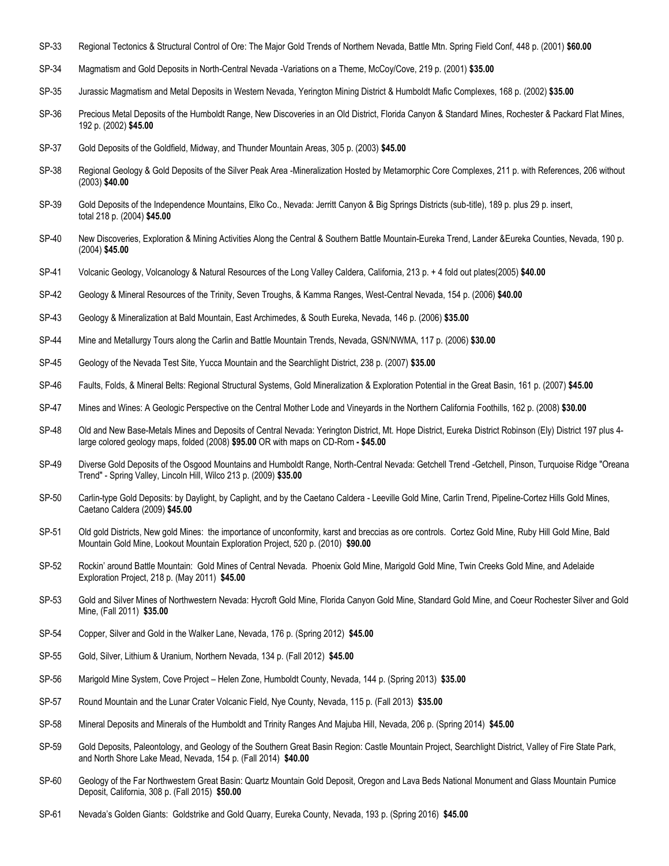- SP-33 Regional Tectonics & Structural Control of Ore: The Major Gold Trends of Northern Nevada, Battle Mtn. Spring Field Conf, 448 p. (2001) **\$60.00**
- SP-34 Magmatism and Gold Deposits in North-Central Nevada -Variations on a Theme, McCoy/Cove, 219 p. (2001) **\$35.00**
- SP-35 Jurassic Magmatism and Metal Deposits in Western Nevada, Yerington Mining District & Humboldt Mafic Complexes, 168 p. (2002) **\$35.00**
- SP-36 Precious Metal Deposits of the Humboldt Range, New Discoveries in an Old District, Florida Canyon & Standard Mines, Rochester & Packard Flat Mines, 192 p. (2002) **\$45.00**
- SP-37 Gold Deposits of the Goldfield, Midway, and Thunder Mountain Areas, 305 p. (2003) **\$45.00**
- SP-38 Regional Geology & Gold Deposits of the Silver Peak Area -Mineralization Hosted by Metamorphic Core Complexes, 211 p. with References, 206 without (2003) **\$40.00**
- SP-39 Gold Deposits of the Independence Mountains, Elko Co., Nevada: Jerritt Canyon & Big Springs Districts (sub-title), 189 p. plus 29 p. insert, total 218 p. (2004) **\$45.00**
- SP-40 New Discoveries, Exploration & Mining Activities Along the Central & Southern Battle Mountain-Eureka Trend, Lander &Eureka Counties, Nevada, 190 p. (2004) **\$45.00**
- SP-41 Volcanic Geology, Volcanology & Natural Resources of the Long Valley Caldera, California, 213 p. + 4 fold out plates(2005) **\$40.00**
- SP-42 Geology & Mineral Resources of the Trinity, Seven Troughs, & Kamma Ranges, West-Central Nevada, 154 p. (2006) **\$40.00**
- SP-43 Geology & Mineralization at Bald Mountain, East Archimedes, & South Eureka, Nevada, 146 p. (2006) **\$35.00**
- SP-44 Mine and Metallurgy Tours along the Carlin and Battle Mountain Trends, Nevada, GSN/NWMA, 117 p. (2006) **\$30.00**
- SP-45 Geology of the Nevada Test Site, Yucca Mountain and the Searchlight District, 238 p. (2007) **\$35.00**
- SP-46 Faults, Folds, & Mineral Belts: Regional Structural Systems, Gold Mineralization & Exploration Potential in the Great Basin, 161 p. (2007) **\$45.00**
- SP-47 Mines and Wines: A Geologic Perspective on the Central Mother Lode and Vineyards in the Northern California Foothills, 162 p. (2008) **\$30.00**
- SP-48 Old and New Base-Metals Mines and Deposits of Central Nevada: Yerington District, Mt. Hope District, Eureka District Robinson (Ely) District 197 plus 4large colored geology maps, folded (2008) **\$95.00** OR with maps on CD-Rom **- \$45.00**
- SP-49 Diverse Gold Deposits of the Osgood Mountains and Humboldt Range, North-Central Nevada: Getchell Trend -Getchell, Pinson, Turquoise Ridge "Oreana Trend" - Spring Valley, Lincoln Hill, Wilco 213 p. (2009) **\$35.00**
- SP-50 Carlin-type Gold Deposits: by Daylight, by Caplight, and by the Caetano Caldera Leeville Gold Mine, Carlin Trend, Pipeline-Cortez Hills Gold Mines, Caetano Caldera (2009) **\$45.00**
- SP-51 Old gold Districts, New gold Mines: the importance of unconformity, karst and breccias as ore controls. Cortez Gold Mine, Ruby Hill Gold Mine, Bald Mountain Gold Mine, Lookout Mountain Exploration Project, 520 p. (2010) **\$90.00**
- SP-52 Rockin' around Battle Mountain: Gold Mines of Central Nevada. Phoenix Gold Mine, Marigold Gold Mine, Twin Creeks Gold Mine, and Adelaide Exploration Project, 218 p. (May 2011) **\$45.00**
- SP-53 Gold and Silver Mines of Northwestern Nevada: Hycroft Gold Mine, Florida Canyon Gold Mine, Standard Gold Mine, and Coeur Rochester Silver and Gold Mine, (Fall 2011) **\$35.00**
- SP-54 Copper, Silver and Gold in the Walker Lane, Nevada, 176 p. (Spring 2012) **\$45.00**
- SP-55 Gold, Silver, Lithium & Uranium, Northern Nevada, 134 p. (Fall 2012) **\$45.00**
- SP-56 Marigold Mine System, Cove Project Helen Zone, Humboldt County, Nevada, 144 p. (Spring 2013) **\$35.00**
- SP-57 Round Mountain and the Lunar Crater Volcanic Field, Nye County, Nevada, 115 p. (Fall 2013) **\$35.00**
- SP-58 Mineral Deposits and Minerals of the Humboldt and Trinity Ranges And Majuba Hill, Nevada, 206 p. (Spring 2014) **\$45.00**
- SP-59 Gold Deposits, Paleontology, and Geology of the Southern Great Basin Region: Castle Mountain Project, Searchlight District, Valley of Fire State Park, and North Shore Lake Mead, Nevada, 154 p. (Fall 2014) **\$40.00**
- SP-60 Geology of the Far Northwestern Great Basin: Quartz Mountain Gold Deposit, Oregon and Lava Beds National Monument and Glass Mountain Pumice Deposit, California, 308 p. (Fall 2015) **\$50.00**
- SP-61 Nevada's Golden Giants: Goldstrike and Gold Quarry, Eureka County, Nevada, 193 p. (Spring 2016) **\$45.00**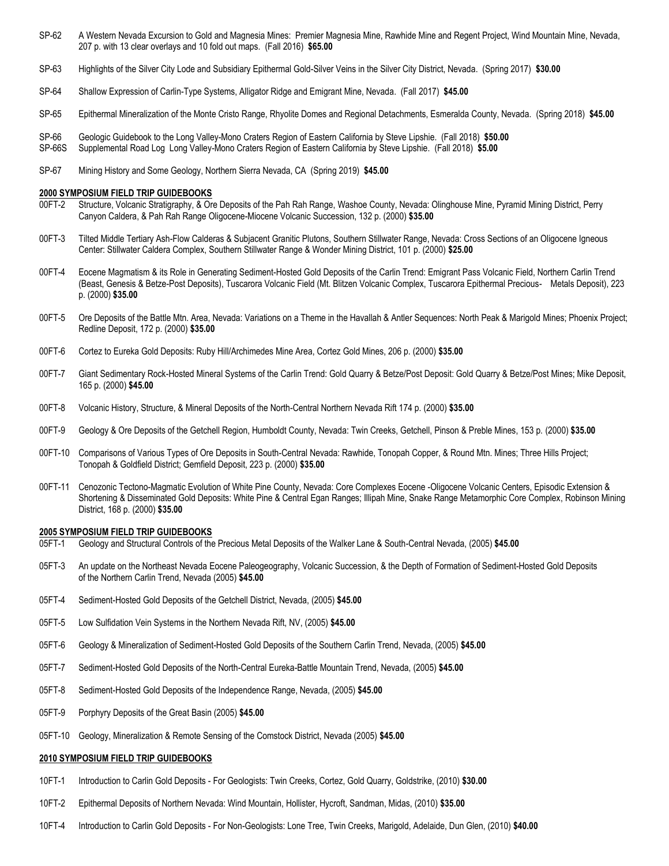- SP-62 A Western Nevada Excursion to Gold and Magnesia Mines: Premier Magnesia Mine, Rawhide Mine and Regent Project, Wind Mountain Mine, Nevada, 207 p. with 13 clear overlays and 10 fold out maps. (Fall 2016) **\$65.00**
- SP-63 Highlights of the Silver City Lode and Subsidiary Epithermal Gold-Silver Veins in the Silver City District, Nevada. (Spring 2017) **\$30.00**
- SP-64 Shallow Expression of Carlin-Type Systems, Alligator Ridge and Emigrant Mine, Nevada. (Fall 2017) **\$45.00**
- SP-65 Epithermal Mineralization of the Monte Cristo Range, Rhyolite Domes and Regional Detachments, Esmeralda County, Nevada. (Spring 2018) **\$45.00**
- SP-66 Geologic Guidebook to the Long Valley-Mono Craters Region of Eastern California by Steve Lipshie. (Fall 2018) **\$50.00**
- SP-66S Supplemental Road Log Long Valley-Mono Craters Region of Eastern California by Steve Lipshie. (Fall 2018) **\$5.00**
- SP-67 Mining History and Some Geology, Northern Sierra Nevada, CA (Spring 2019) **\$45.00**

# **2000 SYMPOSIUM FIELD TRIP GUIDEBOOKS**

- 00FT-2 Structure, Volcanic Stratigraphy, & Ore Deposits of the Pah Rah Range, Washoe County, Nevada: Olinghouse Mine, Pyramid Mining District, Perry Canyon Caldera, & Pah Rah Range Oligocene-Miocene Volcanic Succession, 132 p. (2000) **\$35.00**
- 00FT-3 Tilted Middle Tertiary Ash-Flow Calderas & Subjacent Granitic Plutons, Southern Stillwater Range, Nevada: Cross Sections of an Oligocene Igneous Center: Stillwater Caldera Complex, Southern Stillwater Range & Wonder Mining District, 101 p. (2000) **\$25.00**
- 00FT-4 Eocene Magmatism & its Role in Generating Sediment-Hosted Gold Deposits of the Carlin Trend: Emigrant Pass Volcanic Field, Northern Carlin Trend (Beast, Genesis & Betze-Post Deposits), Tuscarora Volcanic Field (Mt. Blitzen Volcanic Complex, Tuscarora Epithermal Precious- Metals Deposit), 223 p. (2000) **\$35.00**
- 00FT-5 Ore Deposits of the Battle Mtn. Area, Nevada: Variations on a Theme in the Havallah & Antler Sequences: North Peak & Marigold Mines; Phoenix Project; Redline Deposit, 172 p. (2000) **\$35.00**
- 00FT-6 Cortez to Eureka Gold Deposits: Ruby Hill/Archimedes Mine Area, Cortez Gold Mines, 206 p. (2000) **\$35.00**
- 00FT-7 Giant Sedimentary Rock-Hosted Mineral Systems of the Carlin Trend: Gold Quarry & Betze/Post Deposit: Gold Quarry & Betze/Post Mines; Mike Deposit, 165 p. (2000) **\$45.00**
- 00FT-8 Volcanic History, Structure, & Mineral Deposits of the North-Central Northern Nevada Rift 174 p. (2000) **\$35.00**
- 00FT-9 Geology & Ore Deposits of the Getchell Region, Humboldt County, Nevada: Twin Creeks, Getchell, Pinson & Preble Mines, 153 p. (2000) **\$35.00**
- 00FT-10 Comparisons of Various Types of Ore Deposits in South-Central Nevada: Rawhide, Tonopah Copper, & Round Mtn. Mines; Three Hills Project; Tonopah & Goldfield District; Gemfield Deposit, 223 p. (2000) **\$35.00**
- 00FT-11 Cenozonic Tectono-Magmatic Evolution of White Pine County, Nevada: Core Complexes Eocene -Oligocene Volcanic Centers, Episodic Extension & Shortening & Disseminated Gold Deposits: White Pine & Central Egan Ranges; Illipah Mine, Snake Range Metamorphic Core Complex, Robinson Mining District, 168 p. (2000) **\$35.00**

## **2005 SYMPOSIUM FIELD TRIP GUIDEBOOKS**

- 05FT-1 Geology and Structural Controls of the Precious Metal Deposits of the Walker Lane & South-Central Nevada, (2005) **\$45.00**
- 05FT-3 An update on the Northeast Nevada Eocene Paleogeography, Volcanic Succession, & the Depth of Formation of Sediment-Hosted Gold Deposits of the Northern Carlin Trend, Nevada (2005) **\$45.00**
- 05FT-4 Sediment-Hosted Gold Deposits of the Getchell District, Nevada, (2005) **\$45.00**
- 05FT-5 Low Sulfidation Vein Systems in the Northern Nevada Rift, NV, (2005) **\$45.00**
- 05FT-6 Geology & Mineralization of Sediment-Hosted Gold Deposits of the Southern Carlin Trend, Nevada, (2005) **\$45.00**
- 05FT-7 Sediment-Hosted Gold Deposits of the North-Central Eureka-Battle Mountain Trend, Nevada, (2005) **\$45.00**
- 05FT-8 Sediment-Hosted Gold Deposits of the Independence Range, Nevada, (2005) **\$45.00**
- 05FT-9 Porphyry Deposits of the Great Basin (2005) **\$45.00**
- 05FT-10 Geology, Mineralization & Remote Sensing of the Comstock District, Nevada (2005) **\$45.00**

## **2010 SYMPOSIUM FIELD TRIP GUIDEBOOKS**

- 10FT-1 Introduction to Carlin Gold Deposits For Geologists: Twin Creeks, Cortez, Gold Quarry, Goldstrike, (2010) **\$30.00**
- 10FT-2 Epithermal Deposits of Northern Nevada: Wind Mountain, Hollister, Hycroft, Sandman, Midas, (2010) **\$35.00**
- 10FT-4 Introduction to Carlin Gold Deposits For Non-Geologists: Lone Tree, Twin Creeks, Marigold, Adelaide, Dun Glen, (2010) **\$40.00**